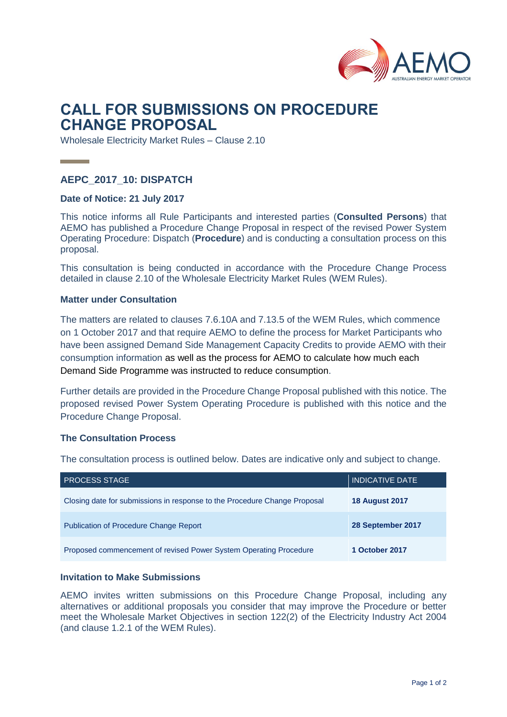

# **CALL FOR SUBMISSIONS ON PROCEDURE CHANGE PROPOSAL**

Wholesale Electricity Market Rules – Clause 2.10

# **AEPC\_2017\_10: DISPATCH**

#### **Date of Notice: 21 July 2017**

This notice informs all Rule Participants and interested parties (**Consulted Persons**) that AEMO has published a Procedure Change Proposal in respect of the revised Power System Operating Procedure: Dispatch (**Procedure**) and is conducting a consultation process on this proposal.

This consultation is being conducted in accordance with the Procedure Change Process detailed in clause 2.10 of the Wholesale Electricity Market Rules (WEM Rules).

#### **Matter under Consultation**

The matters are related to clauses 7.6.10A and 7.13.5 of the WEM Rules, which commence on 1 October 2017 and that require AEMO to define the process for Market Participants who have been assigned Demand Side Management Capacity Credits to provide AEMO with their consumption information as well as the process for AEMO to calculate how much each Demand Side Programme was instructed to reduce consumption.

Further details are provided in the Procedure Change Proposal published with this notice. The proposed revised Power System Operating Procedure is published with this notice and the Procedure Change Proposal.

#### **The Consultation Process**

The consultation process is outlined below. Dates are indicative only and subject to change.

| <b>PROCESS STAGE</b>                                                      | <b>INDICATIVE DATE</b> |
|---------------------------------------------------------------------------|------------------------|
| Closing date for submissions in response to the Procedure Change Proposal | <b>18 August 2017</b>  |
| <b>Publication of Procedure Change Report</b>                             | 28 September 2017      |
| Proposed commencement of revised Power System Operating Procedure         | 1 October 2017         |

## **Invitation to Make Submissions**

AEMO invites written submissions on this Procedure Change Proposal, including any alternatives or additional proposals you consider that may improve the Procedure or better meet the Wholesale Market Objectives in section 122(2) of the Electricity Industry Act 2004 (and clause 1.2.1 of the WEM Rules).